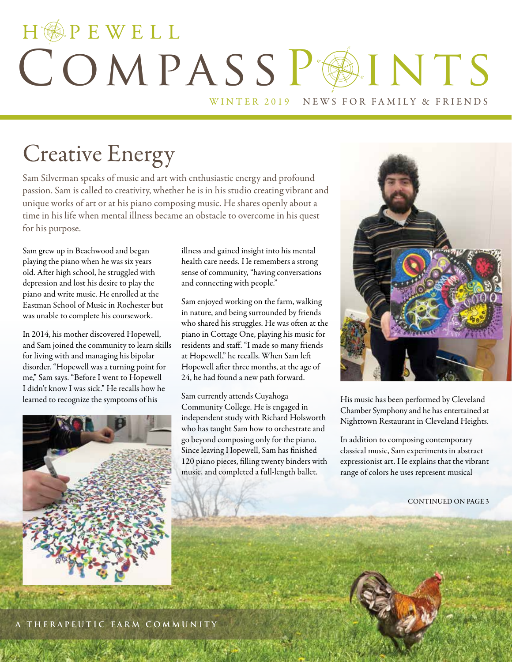# HOPEWELL COMPASSPAINTS WINTER 2019 NEWS FOR FAMILY & FRIENDS

## Creative Energy

Sam Silverman speaks of music and art with enthusiastic energy and profound passion. Sam is called to creativity, whether he is in his studio creating vibrant and unique works of art or at his piano composing music. He shares openly about a time in his life when mental illness became an obstacle to overcome in his quest for his purpose.

Sam grew up in Beachwood and began playing the piano when he was six years old. After high school, he struggled with depression and lost his desire to play the piano and write music. He enrolled at the Eastman School of Music in Rochester but was unable to complete his coursework.

In 2014, his mother discovered Hopewell, and Sam joined the community to learn skills for living with and managing his bipolar disorder. "Hopewell was a turning point for me," Sam says. "Before I went to Hopewell I didn't know I was sick." He recalls how he learned to recognize the symptoms of his



illness and gained insight into his mental health care needs. He remembers a strong sense of community, "having conversations and connecting with people."

Sam enjoyed working on the farm, walking in nature, and being surrounded by friends who shared his struggles. He was often at the piano in Cottage One, playing his music for residents and staff. "I made so many friends at Hopewell," he recalls. When Sam left Hopewell after three months, at the age of 24, he had found a new path forward.

Sam currently attends Cuyahoga Community College. He is engaged in independent study with Richard Holsworth who has taught Sam how to orchestrate and go beyond composing only for the piano. Since leaving Hopewell, Sam has finished 120 piano pieces, filling twenty binders with music, and completed a full-length ballet.



His music has been performed by Cleveland Chamber Symphony and he has entertained at Nighttown Restaurant in Cleveland Heights.

In addition to composing contemporary classical music, Sam experiments in abstract expressionist art. He explains that the vibrant range of colors he uses represent musical

CONTINUED ON PAGE 3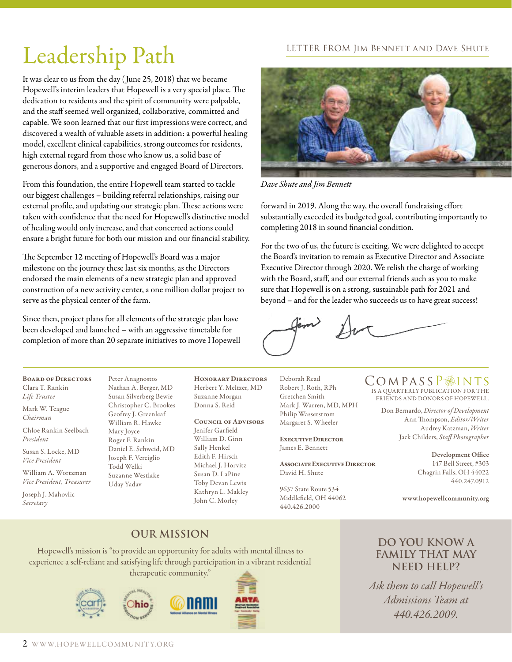### LETTER FROM Jim Bennett and Dave Shute

# Leadership Path

It was clear to us from the day ( June 25, 2018) that we became Hopewell's interim leaders that Hopewell is a very special place. The dedication to residents and the spirit of community were palpable, and the staff seemed well organized, collaborative, committed and capable. We soon learned that our first impressions were correct, and discovered a wealth of valuable assets in addition: a powerful healing model, excellent clinical capabilities, strong outcomes for residents, high external regard from those who know us, a solid base of generous donors, and a supportive and engaged Board of Directors.

From this foundation, the entire Hopewell team started to tackle our biggest challenges – building referral relationships, raising our external profile, and updating our strategic plan. These actions were taken with confidence that the need for Hopewell's distinctive model of healing would only increase, and that concerted actions could ensure a bright future for both our mission and our financial stability.

The September 12 meeting of Hopewell's Board was a major milestone on the journey these last six months, as the Directors endorsed the main elements of a new strategic plan and approved construction of a new activity center, a one million dollar project to serve as the physical center of the farm.

Since then, project plans for all elements of the strategic plan have been developed and launched – with an aggressive timetable for completion of more than 20 separate initiatives to move Hopewell



*Dave Shute and Jim Bennett*

forward in 2019. Along the way, the overall fundraising effort substantially exceeded its budgeted goal, contributing importantly to completing 2018 in sound financial condition.

For the two of us, the future is exciting. We were delighted to accept the Board's invitation to remain as Executive Director and Associate Executive Director through 2020. We relish the charge of working with the Board, staff, and our external friends such as you to make sure that Hopewell is on a strong, sustainable path for 2021 and beyond – and for the leader who succeeds us to have great success!

Board of Directors Clara T. Rankin *Life Trustee*

Mark W. Teague *Chairman*

Chloe Rankin Seelbach *President*

Susan S. Locke, MD *Vice President*

William A. Wortzman *Vice President, Treasurer*

Joseph J. Mahovlic *Secretary*

Peter Anagnostos Nathan A. Berger, MD Susan Silverberg Bewie Christopher C. Brookes Geofrey J. Greenleaf William R. Hawke Mary Joyce Roger F. Rankin Daniel E. Schweid, MD Joseph F. Verciglio Todd Welki Suzanne Westlake Uday Yadav

Honorary Directors Herbert Y. Meltzer, MD Suzanne Morgan Donna S. Reid

#### Council of Advisors

Jenifer Garfield William D. Ginn Sally Henkel Edith F. Hirsch Michael J. Horvitz Susan D. LaPine Toby Devan Lewis Kathryn L. Makley John C. Morley

Deborah Read Robert J. Roth, RPh Gretchen Smith Mark J. Warren, MD, MPH Philip Wasserstrom Margaret S. Wheeler

Executive Director James E. Bennett

Associate Executive Director David H. Shute

9637 State Route 534 Middlefield, OH 44062 440.426.2000

IS A QUARTERLY PUBLICATION FOR THE FRIENDS AND DONORS OF HOPEWELL. COMPASSP<sup>INTS</sup>

> Don Bernardo, *Director of Development* Ann Thompson, *Editor/Writer* Audrey Katzman, *Writer*  Jack Childers, *Staff Photographer*

> > Development Office 147 Bell Street, #303 Chagrin Falls, OH 44022 440.247.0912

www.hopewellcommunity.org

## **Our Mission**

Hopewell's mission is "to provide an opportunity for adults with mental illness to experience a self-reliant and satisfying life through participation in a vibrant residential therapeutic community."









### **Do you know a family that may need help?**

*Ask them to call Hopewell's Admissions Team at 440.426.2009.*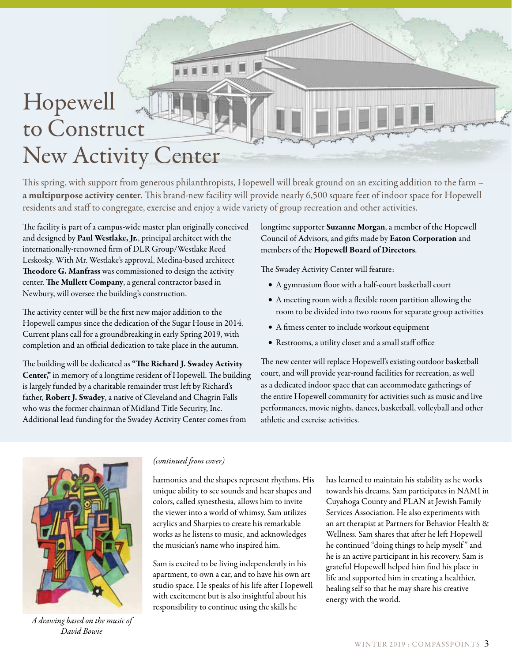# Hopewell to Construct New Activity Center

**FEE** 

This spring, with support from generous philanthropists, Hopewell will break ground on an exciting addition to the farm – a multipurpose activity center. This brand-new facility will provide nearly 6,500 square feet of indoor space for Hopewell residents and staff to congregate, exercise and enjoy a wide variety of group recreation and other activities.

The facility is part of a campus-wide master plan originally conceived and designed by Paul Westlake, Jr., principal architect with the internationally-renowned firm of DLR Group/Westlake Reed Leskosky. With Mr. Westlake's approval, Medina-based architect Theodore G. Manfrass was commissioned to design the activity center. The Mullett Company, a general contractor based in Newbury, will oversee the building's construction.

The activity center will be the first new major addition to the Hopewell campus since the dedication of the Sugar House in 2014. Current plans call for a groundbreaking in early Spring 2019, with completion and an official dedication to take place in the autumn.

The building will be dedicated as "The Richard J. Swadey Activity Center," in memory of a longtime resident of Hopewell. The building is largely funded by a charitable remainder trust left by Richard's father, Robert J. Swadey, a native of Cleveland and Chagrin Falls who was the former chairman of Midland Title Security, Inc. Additional lead funding for the Swadey Activity Center comes from

longtime supporter Suzanne Morgan, a member of the Hopewell Council of Advisors, and gifts made by Eaton Corporation and members of the Hopewell Board of Directors.

The Swadey Activity Center will feature:

- • A gymnasium floor with a half-court basketball court
- • A meeting room with a flexible room partition allowing the room to be divided into two rooms for separate group activities
- • A fitness center to include workout equipment
- • Restrooms, a utility closet and a small staff office

The new center will replace Hopewell's existing outdoor basketball court, and will provide year-round facilities for recreation, as well as a dedicated indoor space that can accommodate gatherings of the entire Hopewell community for activities such as music and live performances, movie nights, dances, basketball, volleyball and other athletic and exercise activities.



*A drawing based on the music of David Bowie*

### *(continued from cover)*

harmonies and the shapes represent rhythms. His unique ability to see sounds and hear shapes and colors, called synesthesia, allows him to invite the viewer into a world of whimsy. Sam utilizes acrylics and Sharpies to create his remarkable works as he listens to music, and acknowledges the musician's name who inspired him.

Sam is excited to be living independently in his apartment, to own a car, and to have his own art studio space. He speaks of his life after Hopewell with excitement but is also insightful about his responsibility to continue using the skills he

has learned to maintain his stability as he works towards his dreams. Sam participates in NAMI in Cuyahoga County and PLAN at Jewish Family Services Association. He also experiments with an art therapist at Partners for Behavior Health & Wellness. Sam shares that after he left Hopewell he continued "doing things to help myself " and he is an active participant in his recovery. Sam is grateful Hopewell helped him find his place in life and supported him in creating a healthier, healing self so that he may share his creative energy with the world.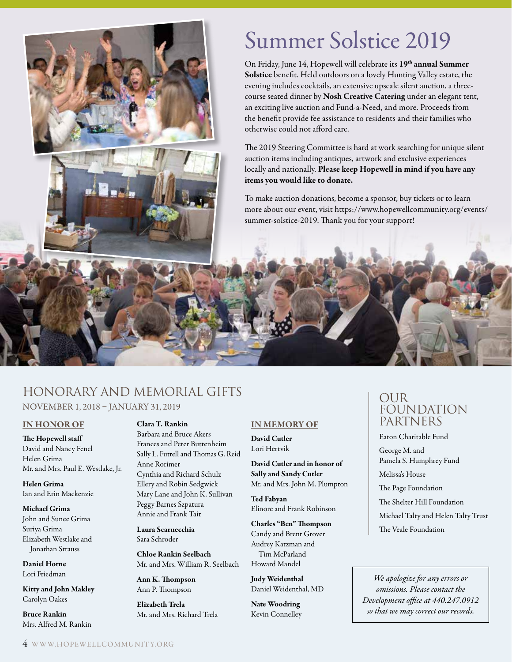## Summer Solstice 2019

On Friday, June 14, Hopewell will celebrate its 19<sup>th</sup> annual Summer Solstice benefit. Held outdoors on a lovely Hunting Valley estate, the evening includes cocktails, an extensive upscale silent auction, a threecourse seated dinner by Nosh Creative Catering under an elegant tent, an exciting live auction and Fund-a-Need, and more. Proceeds from the benefit provide fee assistance to residents and their families who otherwise could not afford care.

The 2019 Steering Committee is hard at work searching for unique silent auction items including antiques, artwork and exclusive experiences locally and nationally. Please keep Hopewell in mind if you have any items you would like to donate.

To make auction donations, become a sponsor, buy tickets or to learn more about our event, visit https://www.hopewellcommunity.org/events/ summer-solstice-2019. Thank you for your support!

## Honorary and Memorial Gifts NOVEMBER 1, 2018 – JANUARY 31, 2019

### IN HONOR OF

The Hopewell staff David and Nancy Fencl Helen Grima Mr. and Mrs. Paul E. Westlake, Jr.

Helen Grima Ian and Erin Mackenzie

#### Michael Grima

John and Sunee Grima Suriya Grima Elizabeth Westlake and Jonathan Strauss

Daniel Horne Lori Friedman

Kitty and John Makley Carolyn Oakes

Bruce Rankin Mrs. Alfred M. Rankin

### Clara T. Rankin

Barbara and Bruce Akers Frances and Peter Buttenheim Sally L. Futrell and Thomas G. Reid Anne Rorimer Cynthia and Richard Schulz Ellery and Robin Sedgwick Mary Lane and John K. Sullivan Peggy Barnes Szpatura Annie and Frank Tait

Laura Scarnecchia Sara Schroder

Chloe Rankin Seelbach Mr. and Mrs. William R. Seelbach

Ann K. Thompson Ann P. Thompson

Elizabeth Trela Mr. and Mrs. Richard Trela

### IN MEMORY OF

David Cutler Lori Hertvik

David Cutler and in honor of Sally and Sandy Cutler Mr. and Mrs. John M. Plumpton

Ted Fabyan Elinore and Frank Robinson

Charles "Ben" Thompson Candy and Brent Grover Audrey Katzman and Tim McParland Howard Mandel

Judy Weidenthal Daniel Weidenthal, MD

Nate Woodring Kevin Connelley

## **OUR** FOUNDATION PARTNERS

Eaton Charitable Fund

George M. and Pamela S. Humphrey Fund

Melissa's House

The Page Foundation

The Shelter Hill Foundation

Michael Talty and Helen Talty Trust

The Veale Foundation

*We apologize for any errors or omissions. Please contact the Development office at 440.247.0912 so that we may correct our records.*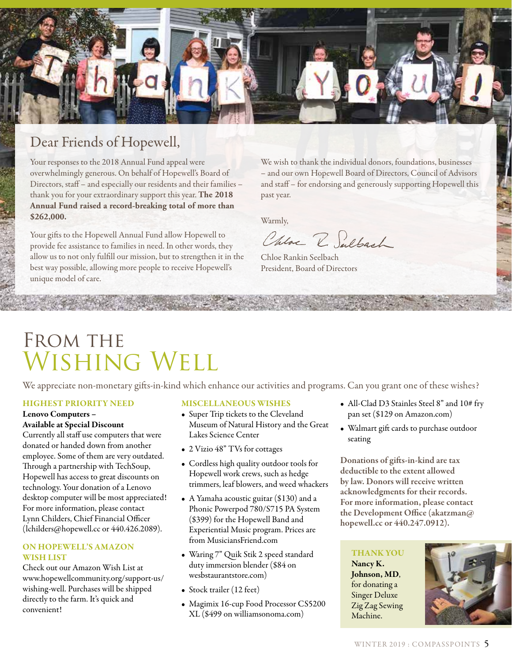

## Dear Friends of Hopewell,

Your responses to the 2018 Annual Fund appeal were overwhelmingly generous. On behalf of Hopewell's Board of Directors, staff – and especially our residents and their families – thank you for your extraordinary support this year. **The 2018 Annual Fund raised a record-breaking total of more than \$262,000.**

Your gifts to the Hopewell Annual Fund allow Hopewell to provide fee assistance to families in need. In other words, they allow us to not only fulfill our mission, but to strengthen it in the best way possible, allowing more people to receive Hopewell's unique model of care.

We wish to thank the individual donors, foundations, businesses – and our own Hopewell Board of Directors, Council of Advisors and staff – for endorsing and generously supporting Hopewell this past year.

Warmly,

Chloe R. Sulbach

Chloe Rankin Seelbach President, Board of Directors

## FROM THE Wishing Well

We appreciate non-monetary gifts-in-kind which enhance our activities and programs. Can you grant one of these wishes?

### HIGHEST PRIORITY NEED

#### Lenovo Computers – Available at Special Discount

Currently all staff use computers that were donated or handed down from another employee. Some of them are very outdated. Through a partnership with TechSoup, Hopewell has access to great discounts on technology. Your donation of a Lenovo desktop computer will be most appreciated! For more information, please contact Lynn Childers, Chief Financial Officer (lchilders@hopewell.cc or 440.426.2089).

### ON HOPEWELL'S AMAZON WISH LIST

Check out our Amazon Wish List at www.hopewellcommunity.org/support-us/ wishing-well. Purchases will be shipped directly to the farm. It's quick and convenient!

### MISCELLANEOUS WISHES

- Super Trip tickets to the Cleveland Museum of Natural History and the Great Lakes Science Center
- 2 Vizio 48" TVs for cottages
- Cordless high quality outdoor tools for Hopewell work crews, such as hedge trimmers, leaf blowers, and weed whackers
- A Yamaha acoustic guitar (\$130) and a Phonic Powerpod 780/S715 PA System (\$399) for the Hopewell Band and Experiential Music program. Prices are from MusiciansFriend.com
- Waring 7" Quik Stik 2 speed standard duty immersion blender (\$84 on wesbstaurantstore.com)
- Stock trailer (12 feet)
- Magimix 16-cup Food Processor CS5200 XL (\$499 on williamsonoma.com)
- All-Clad D3 Stainles Steel 8" and 10# fry pan set (\$129 on Amazon.com)
- Walmart gift cards to purchase outdoor seating

Donations of gifts-in-kind are tax deductible to the extent allowed by law. Donors will receive written acknowledgments for their records. For more information, please contact the Development Office (akatzman@ hopewell.cc or 440.247.0912).

### THANK YOU

Nancy K. Johnson, MD, for donating a Singer Deluxe Zig Zag Sewing Machine.

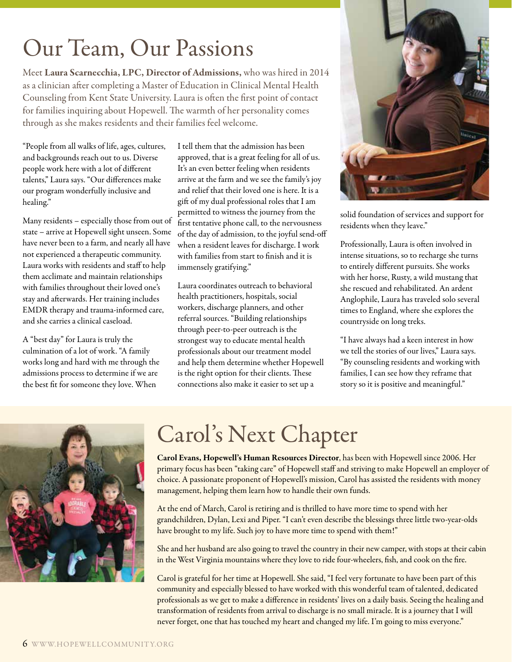# Our Team, Our Passions

Meet Laura Scarnecchia, LPC, Director of Admissions, who was hired in 2014 as a clinician after completing a Master of Education in Clinical Mental Health Counseling from Kent State University. Laura is often the first point of contact for families inquiring about Hopewell. The warmth of her personality comes through as she makes residents and their families feel welcome.

"People from all walks of life, ages, cultures, and backgrounds reach out to us. Diverse people work here with a lot of different talents," Laura says. "Our differences make our program wonderfully inclusive and healing."

Many residents – especially those from out of state – arrive at Hopewell sight unseen. Some have never been to a farm, and nearly all have not experienced a therapeutic community. Laura works with residents and staff to help them acclimate and maintain relationships with families throughout their loved one's stay and afterwards. Her training includes EMDR therapy and trauma-informed care, and she carries a clinical caseload.

A "best day" for Laura is truly the culmination of a lot of work. "A family works long and hard with me through the admissions process to determine if we are the best fit for someone they love. When

I tell them that the admission has been approved, that is a great feeling for all of us. It's an even better feeling when residents arrive at the farm and we see the family's joy and relief that their loved one is here. It is a gift of my dual professional roles that I am permitted to witness the journey from the first tentative phone call, to the nervousness of the day of admission, to the joyful send-off when a resident leaves for discharge. I work with families from start to finish and it is immensely gratifying."

Laura coordinates outreach to behavioral health practitioners, hospitals, social workers, discharge planners, and other referral sources. "Building relationships through peer-to-peer outreach is the strongest way to educate mental health professionals about our treatment model and help them determine whether Hopewell is the right option for their clients. These connections also make it easier to set up a



solid foundation of services and support for residents when they leave."

Professionally, Laura is often involved in intense situations, so to recharge she turns to entirely different pursuits. She works with her horse, Rusty, a wild mustang that she rescued and rehabilitated. An ardent Anglophile, Laura has traveled solo several times to England, where she explores the countryside on long treks.

"I have always had a keen interest in how we tell the stories of our lives," Laura says. "By counseling residents and working with families, I can see how they reframe that story so it is positive and meaningful."



# Carol's Next Chapter

Carol Evans, Hopewell's Human Resources Director, has been with Hopewell since 2006. Her primary focus has been "taking care" of Hopewell staff and striving to make Hopewell an employer of choice. A passionate proponent of Hopewell's mission, Carol has assisted the residents with money management, helping them learn how to handle their own funds.

At the end of March, Carol is retiring and is thrilled to have more time to spend with her grandchildren, Dylan, Lexi and Piper. "I can't even describe the blessings three little two-year-olds have brought to my life. Such joy to have more time to spend with them!"

She and her husband are also going to travel the country in their new camper, with stops at their cabin in the West Virginia mountains where they love to ride four-wheelers, fish, and cook on the fire.

Carol is grateful for her time at Hopewell. She said, "I feel very fortunate to have been part of this community and especially blessed to have worked with this wonderful team of talented, dedicated professionals as we get to make a difference in residents' lives on a daily basis. Seeing the healing and transformation of residents from arrival to discharge is no small miracle. It is a journey that I will never forget, one that has touched my heart and changed my life. I'm going to miss everyone."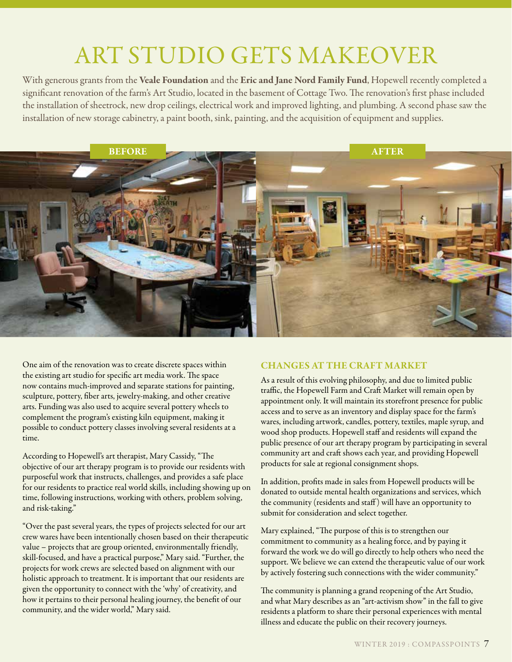# ART STUDIO GETS MAKEOVER

With generous grants from the Veale Foundation and the Eric and Jane Nord Family Fund, Hopewell recently completed a significant renovation of the farm's Art Studio, located in the basement of Cottage Two. The renovation's first phase included the installation of sheetrock, new drop ceilings, electrical work and improved lighting, and plumbing. A second phase saw the installation of new storage cabinetry, a paint booth, sink, painting, and the acquisition of equipment and supplies.



One aim of the renovation was to create discrete spaces within the existing art studio for specific art media work. The space now contains much-improved and separate stations for painting, sculpture, pottery, fiber arts, jewelry-making, and other creative arts. Funding was also used to acquire several pottery wheels to complement the program's existing kiln equipment, making it possible to conduct pottery classes involving several residents at a time.

According to Hopewell's art therapist, Mary Cassidy, "The objective of our art therapy program is to provide our residents with purposeful work that instructs, challenges, and provides a safe place for our residents to practice real world skills, including showing up on time, following instructions, working with others, problem solving, and risk-taking."

"Over the past several years, the types of projects selected for our art crew wares have been intentionally chosen based on their therapeutic value – projects that are group oriented, environmentally friendly, skill-focused, and have a practical purpose," Mary said. "Further, the projects for work crews are selected based on alignment with our holistic approach to treatment. It is important that our residents are given the opportunity to connect with the 'why' of creativity, and how it pertains to their personal healing journey, the benefit of our community, and the wider world," Mary said.

### CHANGES AT THE CRAFT MARKET

As a result of this evolving philosophy, and due to limited public traffic, the Hopewell Farm and Craft Market will remain open by appointment only. It will maintain its storefront presence for public access and to serve as an inventory and display space for the farm's wares, including artwork, candles, pottery, textiles, maple syrup, and wood shop products. Hopewell staff and residents will expand the public presence of our art therapy program by participating in several community art and craft shows each year, and providing Hopewell products for sale at regional consignment shops.

In addition, profits made in sales from Hopewell products will be donated to outside mental health organizations and services, which the community (residents and staff ) will have an opportunity to submit for consideration and select together.

Mary explained, "The purpose of this is to strengthen our commitment to community as a healing force, and by paying it forward the work we do will go directly to help others who need the support. We believe we can extend the therapeutic value of our work by actively fostering such connections with the wider community."

The community is planning a grand reopening of the Art Studio, and what Mary describes as an "art-activism show" in the fall to give residents a platform to share their personal experiences with mental illness and educate the public on their recovery journeys.